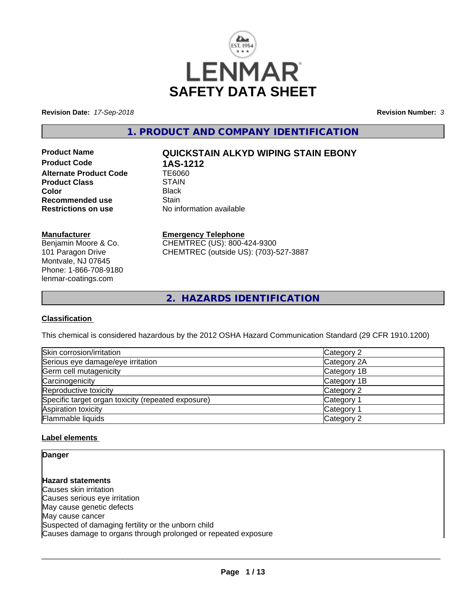

**Revision Date:** *17-Sep-2018* **Revision Number:** *3*

**1. PRODUCT AND COMPANY IDENTIFICATION**

**Product Code 1AS-1212<br>Alternate Product Code 166060 Alternate Product Code TE606<br>Product Class STAIN Product Class** STAIN<br> **Color** Black **Color** Black **Recommended use Stain<br>
<b>Restrictions on use** No inf

# **Product Name QUICKSTAIN ALKYD WIPING STAIN EBONY**

**No information available** 

## **Manufacturer**

Benjamin Moore & Co. 101 Paragon Drive Montvale, NJ 07645 Phone: 1-866-708-9180 lenmar-coatings.com

## **Emergency Telephone**

CHEMTREC (US): 800-424-9300 CHEMTREC (outside US): (703)-527-3887

**2. HAZARDS IDENTIFICATION**

## **Classification**

This chemical is considered hazardous by the 2012 OSHA Hazard Communication Standard (29 CFR 1910.1200)

| Skin corrosion/irritation                          | Category 2            |
|----------------------------------------------------|-----------------------|
| Serious eye damage/eye irritation                  | Category 2A           |
| Germ cell mutagenicity                             | Category 1B           |
| Carcinogenicity                                    | Category 1B           |
| Reproductive toxicity                              | Category 2            |
| Specific target organ toxicity (repeated exposure) | Category 1            |
| Aspiration toxicity                                | Category <sup>2</sup> |
| Flammable liquids                                  | Category 2            |

## **Label elements**

**Danger**

**Hazard statements** Causes skin irritation Causes serious eye irritation May cause genetic defects May cause cancer Suspected of damaging fertility or the unborn child Causes damage to organs through prolonged or repeated exposure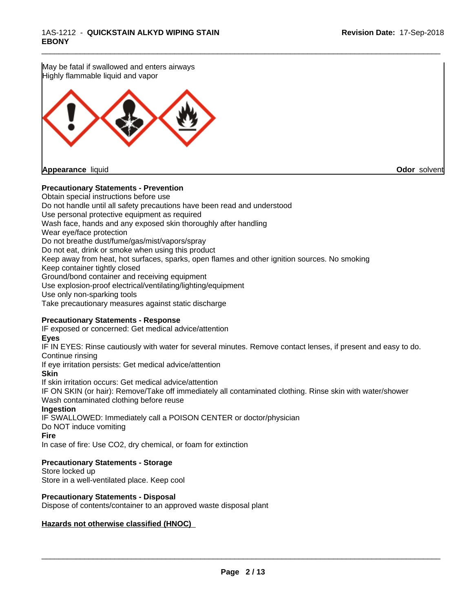May be fatal if swallowed and enters airways Highly flammable liquid and vapor **Appearance** liquid **Odor** solvent

## **Precautionary Statements - Prevention**

Obtain special instructions before use Do not handle until all safety precautions have been read and understood Use personal protective equipment as required Wash face, hands and any exposed skin thoroughly after handling Wear eye/face protection Do not breathe dust/fume/gas/mist/vapors/spray Do not eat, drink or smoke when using this product Keep away from heat, hot surfaces, sparks, open flames and other ignition sources. No smoking Keep container tightly closed Ground/bond container and receiving equipment Use explosion-proof electrical/ventilating/lighting/equipment Use only non-sparking tools Take precautionary measures against static discharge

## **Precautionary Statements - Response**

IF exposed or concerned: Get medical advice/attention

#### **Eyes**

IF IN EYES: Rinse cautiously with water for several minutes. Remove contact lenses, if present and easy to do. Continue rinsing

\_\_\_\_\_\_\_\_\_\_\_\_\_\_\_\_\_\_\_\_\_\_\_\_\_\_\_\_\_\_\_\_\_\_\_\_\_\_\_\_\_\_\_\_\_\_\_\_\_\_\_\_\_\_\_\_\_\_\_\_\_\_\_\_\_\_\_\_\_\_\_\_\_\_\_\_\_\_\_\_\_\_\_\_\_\_\_\_\_\_\_\_\_

If eye irritation persists: Get medical advice/attention

## **Skin**

If skin irritation occurs: Get medical advice/attention

IF ON SKIN (or hair): Remove/Take off immediately all contaminated clothing. Rinse skin with water/shower Wash contaminated clothing before reuse

#### **Ingestion**

IF SWALLOWED: Immediately call a POISON CENTER or doctor/physician Do NOT induce vomiting

#### **Fire**

In case of fire: Use CO2, dry chemical, or foam for extinction

## **Precautionary Statements - Storage**

Store locked up Store in a well-ventilated place. Keep cool

## **Precautionary Statements - Disposal**

Dispose of contents/container to an approved waste disposal plant

## **Hazards not otherwise classified (HNOC)**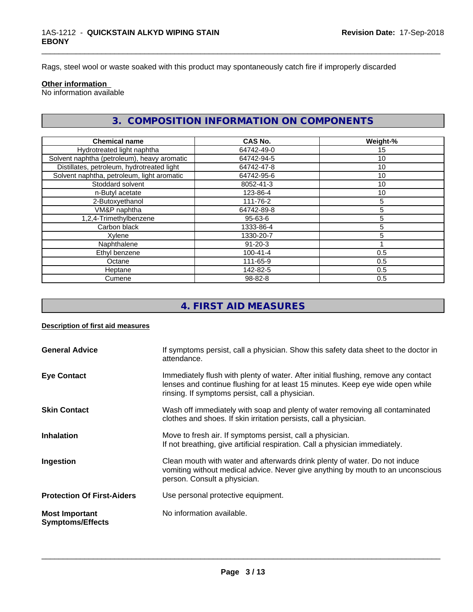Rags, steel wool or waste soaked with this product may spontaneously catch fire if improperly discarded

#### **Other information**

No information available

## **3. COMPOSITION INFORMATION ON COMPONENTS**

\_\_\_\_\_\_\_\_\_\_\_\_\_\_\_\_\_\_\_\_\_\_\_\_\_\_\_\_\_\_\_\_\_\_\_\_\_\_\_\_\_\_\_\_\_\_\_\_\_\_\_\_\_\_\_\_\_\_\_\_\_\_\_\_\_\_\_\_\_\_\_\_\_\_\_\_\_\_\_\_\_\_\_\_\_\_\_\_\_\_\_\_\_

| <b>Chemical name</b>                        | <b>CAS No.</b> | Weight-%        |
|---------------------------------------------|----------------|-----------------|
| Hydrotreated light naphtha                  | 64742-49-0     | 15              |
| Solvent naphtha (petroleum), heavy aromatic | 64742-94-5     | 10 <sup>1</sup> |
| Distillates, petroleum, hydrotreated light  | 64742-47-8     | 10              |
| Solvent naphtha, petroleum, light aromatic  | 64742-95-6     | 10              |
| Stoddard solvent                            | 8052-41-3      | 10              |
| n-Butyl acetate                             | 123-86-4       | 10              |
| 2-Butoxyethanol                             | 111-76-2       | 5               |
| VM&P naphtha                                | 64742-89-8     | 5               |
| 1,2,4-Trimethylbenzene                      | $95 - 63 - 6$  | 5               |
| Carbon black                                | 1333-86-4      | 5               |
| Xylene                                      | 1330-20-7      | 5               |
| Naphthalene                                 | $91 - 20 - 3$  |                 |
| Ethyl benzene                               | $100 - 41 - 4$ | 0.5             |
| Octane                                      | 111-65-9       | 0.5             |
| Heptane                                     | 142-82-5       | 0.5             |
| Cumene                                      | 98-82-8        | 0.5             |

# **4. FIRST AID MEASURES**

#### **Description of first aid measures**

| <b>General Advice</b>                            | If symptoms persist, call a physician. Show this safety data sheet to the doctor in<br>attendance.                                                                                                                      |
|--------------------------------------------------|-------------------------------------------------------------------------------------------------------------------------------------------------------------------------------------------------------------------------|
| <b>Eye Contact</b>                               | Immediately flush with plenty of water. After initial flushing, remove any contact<br>lenses and continue flushing for at least 15 minutes. Keep eye wide open while<br>rinsing. If symptoms persist, call a physician. |
| <b>Skin Contact</b>                              | Wash off immediately with soap and plenty of water removing all contaminated<br>clothes and shoes. If skin irritation persists, call a physician.                                                                       |
| <b>Inhalation</b>                                | Move to fresh air. If symptoms persist, call a physician.<br>If not breathing, give artificial respiration. Call a physician immediately.                                                                               |
| Ingestion                                        | Clean mouth with water and afterwards drink plenty of water. Do not induce<br>vomiting without medical advice. Never give anything by mouth to an unconscious<br>person. Consult a physician.                           |
| <b>Protection Of First-Aiders</b>                | Use personal protective equipment.                                                                                                                                                                                      |
| <b>Most Important</b><br><b>Symptoms/Effects</b> | No information available.                                                                                                                                                                                               |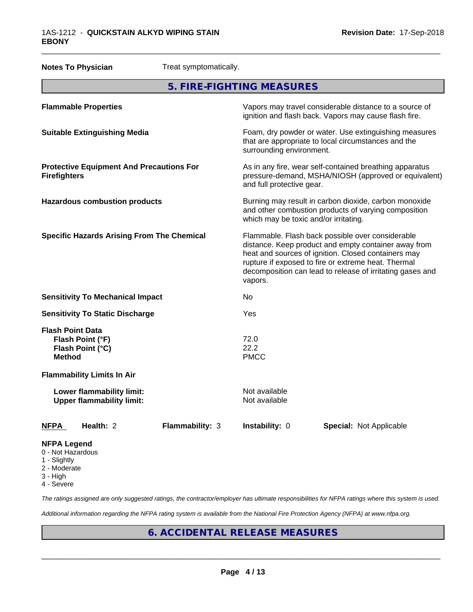| <b>Notes To Physician</b><br>Treat symptomatically.                              |                                                   |                                                                                                                                                                                                                                                                                                |                                                                                                                                                        |  |  |  |
|----------------------------------------------------------------------------------|---------------------------------------------------|------------------------------------------------------------------------------------------------------------------------------------------------------------------------------------------------------------------------------------------------------------------------------------------------|--------------------------------------------------------------------------------------------------------------------------------------------------------|--|--|--|
| 5. FIRE-FIGHTING MEASURES                                                        |                                                   |                                                                                                                                                                                                                                                                                                |                                                                                                                                                        |  |  |  |
| <b>Flammable Properties</b>                                                      |                                                   |                                                                                                                                                                                                                                                                                                | Vapors may travel considerable distance to a source of<br>ignition and flash back. Vapors may cause flash fire.                                        |  |  |  |
| <b>Suitable Extinguishing Media</b>                                              |                                                   |                                                                                                                                                                                                                                                                                                | Foam, dry powder or water. Use extinguishing measures<br>that are appropriate to local circumstances and the<br>surrounding environment.               |  |  |  |
| <b>Firefighters</b>                                                              | <b>Protective Equipment And Precautions For</b>   |                                                                                                                                                                                                                                                                                                | As in any fire, wear self-contained breathing apparatus<br>pressure-demand, MSHA/NIOSH (approved or equivalent)<br>and full protective gear.           |  |  |  |
| <b>Hazardous combustion products</b>                                             |                                                   |                                                                                                                                                                                                                                                                                                | Burning may result in carbon dioxide, carbon monoxide<br>and other combustion products of varying composition<br>which may be toxic and/or irritating. |  |  |  |
|                                                                                  | <b>Specific Hazards Arising From The Chemical</b> | Flammable. Flash back possible over considerable<br>distance. Keep product and empty container away from<br>heat and sources of ignition. Closed containers may<br>rupture if exposed to fire or extreme heat. Thermal<br>decomposition can lead to release of irritating gases and<br>vapors. |                                                                                                                                                        |  |  |  |
| <b>Sensitivity To Mechanical Impact</b>                                          |                                                   | No                                                                                                                                                                                                                                                                                             |                                                                                                                                                        |  |  |  |
| <b>Sensitivity To Static Discharge</b>                                           |                                                   | Yes                                                                                                                                                                                                                                                                                            |                                                                                                                                                        |  |  |  |
| <b>Flash Point Data</b><br>Flash Point (°F)<br>Flash Point (°C)<br><b>Method</b> |                                                   | 72.0<br>22.2<br><b>PMCC</b>                                                                                                                                                                                                                                                                    |                                                                                                                                                        |  |  |  |
| <b>Flammability Limits In Air</b>                                                |                                                   |                                                                                                                                                                                                                                                                                                |                                                                                                                                                        |  |  |  |
| Lower flammability limit:<br><b>Upper flammability limit:</b>                    |                                                   | Not available<br>Not available                                                                                                                                                                                                                                                                 |                                                                                                                                                        |  |  |  |
| Health: 2<br>NFPA                                                                | <b>Flammability: 3</b>                            | Instability: 0                                                                                                                                                                                                                                                                                 | <b>Special: Not Applicable</b>                                                                                                                         |  |  |  |
| <b>NFPA Legend</b><br>0 - Not Hazardous                                          |                                                   |                                                                                                                                                                                                                                                                                                |                                                                                                                                                        |  |  |  |

\_\_\_\_\_\_\_\_\_\_\_\_\_\_\_\_\_\_\_\_\_\_\_\_\_\_\_\_\_\_\_\_\_\_\_\_\_\_\_\_\_\_\_\_\_\_\_\_\_\_\_\_\_\_\_\_\_\_\_\_\_\_\_\_\_\_\_\_\_\_\_\_\_\_\_\_\_\_\_\_\_\_\_\_\_\_\_\_\_\_\_\_\_

- 
- 1 Slightly 2 - Moderate
- 3 High
- 

4 - Severe

*The ratings assigned are only suggested ratings, the contractor/employer has ultimate responsibilities for NFPA ratings where this system is used.*

*Additional information regarding the NFPA rating system is available from the National Fire Protection Agency (NFPA) at www.nfpa.org.*

# **6. ACCIDENTAL RELEASE MEASURES**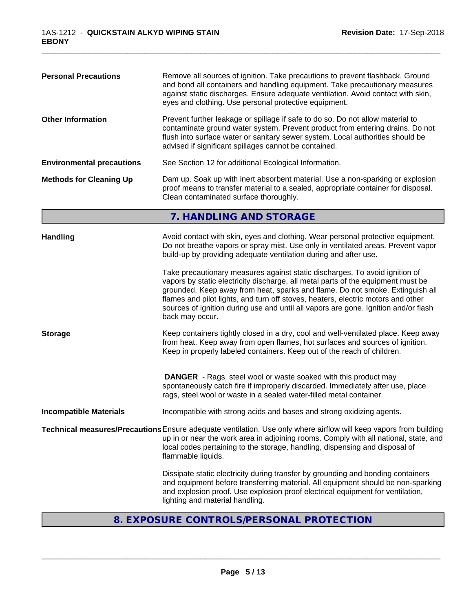| <b>Personal Precautions</b>      | Remove all sources of ignition. Take precautions to prevent flashback. Ground<br>and bond all containers and handling equipment. Take precautionary measures<br>against static discharges. Ensure adequate ventilation. Avoid contact with skin,<br>eyes and clothing. Use personal protective equipment.                                                                                                                                      |  |  |  |
|----------------------------------|------------------------------------------------------------------------------------------------------------------------------------------------------------------------------------------------------------------------------------------------------------------------------------------------------------------------------------------------------------------------------------------------------------------------------------------------|--|--|--|
| <b>Other Information</b>         | Prevent further leakage or spillage if safe to do so. Do not allow material to<br>contaminate ground water system. Prevent product from entering drains. Do not<br>flush into surface water or sanitary sewer system. Local authorities should be<br>advised if significant spillages cannot be contained.                                                                                                                                     |  |  |  |
| <b>Environmental precautions</b> | See Section 12 for additional Ecological Information.                                                                                                                                                                                                                                                                                                                                                                                          |  |  |  |
| <b>Methods for Cleaning Up</b>   | Dam up. Soak up with inert absorbent material. Use a non-sparking or explosion<br>proof means to transfer material to a sealed, appropriate container for disposal.<br>Clean contaminated surface thoroughly.                                                                                                                                                                                                                                  |  |  |  |
|                                  | 7. HANDLING AND STORAGE                                                                                                                                                                                                                                                                                                                                                                                                                        |  |  |  |
| <b>Handling</b>                  | Avoid contact with skin, eyes and clothing. Wear personal protective equipment.<br>Do not breathe vapors or spray mist. Use only in ventilated areas. Prevent vapor<br>build-up by providing adequate ventilation during and after use.                                                                                                                                                                                                        |  |  |  |
|                                  | Take precautionary measures against static discharges. To avoid ignition of<br>vapors by static electricity discharge, all metal parts of the equipment must be<br>grounded. Keep away from heat, sparks and flame. Do not smoke. Extinguish all<br>flames and pilot lights, and turn off stoves, heaters, electric motors and other<br>sources of ignition during use and until all vapors are gone. Ignition and/or flash<br>back may occur. |  |  |  |
| <b>Storage</b>                   | Keep containers tightly closed in a dry, cool and well-ventilated place. Keep away<br>from heat. Keep away from open flames, hot surfaces and sources of ignition.<br>Keep in properly labeled containers. Keep out of the reach of children.                                                                                                                                                                                                  |  |  |  |
|                                  | <b>DANGER</b> - Rags, steel wool or waste soaked with this product may<br>spontaneously catch fire if improperly discarded. Immediately after use, place<br>rags, steel wool or waste in a sealed water-filled metal container.                                                                                                                                                                                                                |  |  |  |
| <b>Incompatible Materials</b>    | Incompatible with strong acids and bases and strong oxidizing agents.                                                                                                                                                                                                                                                                                                                                                                          |  |  |  |
|                                  | Technical measures/Precautions Ensure adequate ventilation. Use only where airflow will keep vapors from building<br>up in or near the work area in adjoining rooms. Comply with all national, state, and<br>local codes pertaining to the storage, handling, dispensing and disposal of<br>flammable liquids.                                                                                                                                 |  |  |  |
|                                  | Dissipate static electricity during transfer by grounding and bonding containers<br>and equipment before transferring material. All equipment should be non-sparking<br>and explosion proof. Use explosion proof electrical equipment for ventilation,<br>lighting and material handling.                                                                                                                                                      |  |  |  |

\_\_\_\_\_\_\_\_\_\_\_\_\_\_\_\_\_\_\_\_\_\_\_\_\_\_\_\_\_\_\_\_\_\_\_\_\_\_\_\_\_\_\_\_\_\_\_\_\_\_\_\_\_\_\_\_\_\_\_\_\_\_\_\_\_\_\_\_\_\_\_\_\_\_\_\_\_\_\_\_\_\_\_\_\_\_\_\_\_\_\_\_\_

# **8. EXPOSURE CONTROLS/PERSONAL PROTECTION**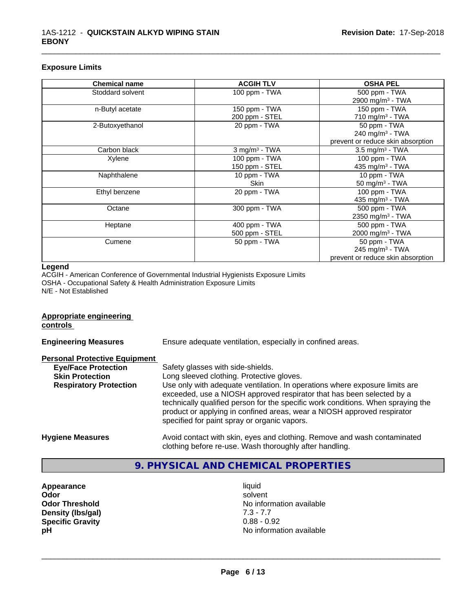## **Exposure Limits**

| <b>Chemical name</b> | <b>ACGIH TLV</b>            | <b>OSHA PEL</b>                   |
|----------------------|-----------------------------|-----------------------------------|
| Stoddard solvent     | 100 ppm - TWA               | 500 ppm - TWA                     |
|                      |                             | 2900 mg/m <sup>3</sup> - TWA      |
| n-Butyl acetate      | 150 ppm - TWA               | 150 ppm - TWA                     |
|                      | 200 ppm - STEL              | 710 mg/m $3$ - TWA                |
| 2-Butoxyethanol      | 20 ppm - TWA                | 50 ppm - TWA                      |
|                      |                             | 240 mg/m <sup>3</sup> - TWA       |
|                      |                             | prevent or reduce skin absorption |
| Carbon black         | $3$ mg/m <sup>3</sup> - TWA | $3.5 \text{ mg/m}^3$ - TWA        |
| Xylene               | 100 ppm - TWA               | 100 ppm - TWA                     |
|                      | 150 ppm - STEL              | 435 mg/m <sup>3</sup> - TWA       |
| Naphthalene          | 10 ppm - TWA                | 10 ppm - TWA                      |
|                      | <b>Skin</b>                 | 50 mg/m <sup>3</sup> - TWA        |
| Ethyl benzene        | 20 ppm - TWA                | 100 ppm - TWA                     |
|                      |                             | 435 mg/m <sup>3</sup> - TWA       |
| Octane               | 300 ppm - TWA               | 500 ppm - TWA                     |
|                      |                             | 2350 mg/m <sup>3</sup> - TWA      |
| Heptane              | 400 ppm - TWA               | 500 ppm - TWA                     |
|                      | 500 ppm - STEL              | 2000 mg/m <sup>3</sup> - TWA      |
| Cumene               | 50 ppm - TWA                | 50 ppm - TWA                      |
|                      |                             | 245 mg/m $3$ - TWA                |
|                      |                             | prevent or reduce skin absorption |

\_\_\_\_\_\_\_\_\_\_\_\_\_\_\_\_\_\_\_\_\_\_\_\_\_\_\_\_\_\_\_\_\_\_\_\_\_\_\_\_\_\_\_\_\_\_\_\_\_\_\_\_\_\_\_\_\_\_\_\_\_\_\_\_\_\_\_\_\_\_\_\_\_\_\_\_\_\_\_\_\_\_\_\_\_\_\_\_\_\_\_\_\_

#### **Legend**

ACGIH - American Conference of Governmental Industrial Hygienists Exposure Limits OSHA - Occupational Safety & Health Administration Exposure Limits N/E - Not Established

# **Appropriate engineering**

**controls** 

**Engineering Measures** Ensure adequate ventilation, especially in confined areas.

#### **Personal Protective Equipment**

| $\sim$ 001101 1 10000010 Equipment |                                                                                                                                                                                                                                                                                                                                                                     |
|------------------------------------|---------------------------------------------------------------------------------------------------------------------------------------------------------------------------------------------------------------------------------------------------------------------------------------------------------------------------------------------------------------------|
| <b>Eye/Face Protection</b>         | Safety glasses with side-shields.                                                                                                                                                                                                                                                                                                                                   |
| <b>Skin Protection</b>             | Long sleeved clothing. Protective gloves.                                                                                                                                                                                                                                                                                                                           |
| <b>Respiratory Protection</b>      | Use only with adequate ventilation. In operations where exposure limits are<br>exceeded, use a NIOSH approved respirator that has been selected by a<br>technically qualified person for the specific work conditions. When spraying the<br>product or applying in confined areas, wear a NIOSH approved respirator<br>specified for paint spray or organic vapors. |
| <b>Hygiene Measures</b>            | Avoid contact with skin, eyes and clothing. Remove and wash contaminated                                                                                                                                                                                                                                                                                            |

# clothing before re-use. Wash thoroughly after handling.

# **9. PHYSICAL AND CHEMICAL PROPERTIES**

- **Appearance** liquid **Density (lbs/gal)** 7.3 - 7.7 **Specific Gravity** 0.88 - 0.92
- **Odor** solvent **Odor Threshold No information available No information available pH pH**  $\blacksquare$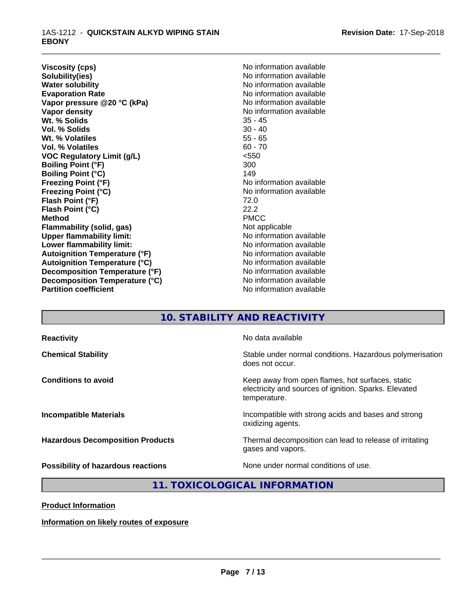**Viscosity (cps)** No information available<br> **Solubility(ies)** No information available **Solubility(ies)**<br> **No information available**<br> **Water solubility**<br> **Water solubility Evaporation Rate Conservation Rate** No information available<br> **Vapor pressure @20 °C (kPa)** No information available **Vapor** pressure @20 °C (kPa) **Vapor density Vapor** density **Wt. % Solids** 35 - 45 **Vol. % Solids** 30 - 40 Wt. % Volatiles **Vol. % Volatiles** 60 - 70 **VOC Regulatory Limit (g/L)** <550 **Boiling Point (°F)** 300 **Boiling Point (°C)** 149<br> **Freezing Point (°F)** No i **Freezing Point (°F)**<br> **Freezing Point (°C)**<br> **Freezing Point (°C)**<br> **No** information available **Flash Point (°F)** 72.0 **Flash Point (°C)** 22.2 **Method** PMCC **Flammability (solid, gas)**<br> **Commability limit:**<br>
Under flammability limit:<br>
Under the Note information available **Upper flammability limit: Lower flammability limit:** No information available **Lower** flammability limit: **Autoignition Temperature (°F)** No information available **Autoignition Temperature (°C)** No information available **Decomposition Temperature (°F)**<br> **Decomposition Temperature (°C)** No information available **Decomposition Temperature (°C)**<br>Partition coefficient

**No information available Freezing Point (°C)** No information available **No information available** 

\_\_\_\_\_\_\_\_\_\_\_\_\_\_\_\_\_\_\_\_\_\_\_\_\_\_\_\_\_\_\_\_\_\_\_\_\_\_\_\_\_\_\_\_\_\_\_\_\_\_\_\_\_\_\_\_\_\_\_\_\_\_\_\_\_\_\_\_\_\_\_\_\_\_\_\_\_\_\_\_\_\_\_\_\_\_\_\_\_\_\_\_\_

## **10. STABILITY AND REACTIVITY**

| <b>Reactivity</b>                         | No data available                                                                                                         |
|-------------------------------------------|---------------------------------------------------------------------------------------------------------------------------|
| <b>Chemical Stability</b>                 | Stable under normal conditions. Hazardous polymerisation<br>does not occur.                                               |
| <b>Conditions to avoid</b>                | Keep away from open flames, hot surfaces, static<br>electricity and sources of ignition. Sparks. Elevated<br>temperature. |
| <b>Incompatible Materials</b>             | Incompatible with strong acids and bases and strong<br>oxidizing agents.                                                  |
| <b>Hazardous Decomposition Products</b>   | Thermal decomposition can lead to release of irritating<br>gases and vapors.                                              |
| <b>Possibility of hazardous reactions</b> | None under normal conditions of use.                                                                                      |

**11. TOXICOLOGICAL INFORMATION**

**Product Information**

**Information on likely routes of exposure**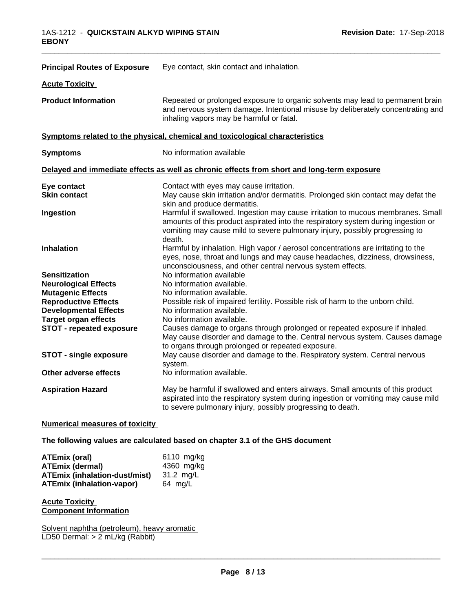| <b>Principal Routes of Exposure</b>                         | Eye contact, skin contact and inhalation.                                                                                                                                                                                                                     |
|-------------------------------------------------------------|---------------------------------------------------------------------------------------------------------------------------------------------------------------------------------------------------------------------------------------------------------------|
| <b>Acute Toxicity</b>                                       |                                                                                                                                                                                                                                                               |
| <b>Product Information</b>                                  | Repeated or prolonged exposure to organic solvents may lead to permanent brain<br>and nervous system damage. Intentional misuse by deliberately concentrating and<br>inhaling vapors may be harmful or fatal.                                                 |
|                                                             | Symptoms related to the physical, chemical and toxicological characteristics                                                                                                                                                                                  |
| <b>Symptoms</b>                                             | No information available                                                                                                                                                                                                                                      |
|                                                             | Delayed and immediate effects as well as chronic effects from short and long-term exposure                                                                                                                                                                    |
| Eye contact<br><b>Skin contact</b>                          | Contact with eyes may cause irritation.<br>May cause skin irritation and/or dermatitis. Prolonged skin contact may defat the<br>skin and produce dermatitis.                                                                                                  |
| Ingestion                                                   | Harmful if swallowed. Ingestion may cause irritation to mucous membranes. Small<br>amounts of this product aspirated into the respiratory system during ingestion or<br>vomiting may cause mild to severe pulmonary injury, possibly progressing to<br>death. |
| <b>Inhalation</b>                                           | Harmful by inhalation. High vapor / aerosol concentrations are irritating to the<br>eyes, nose, throat and lungs and may cause headaches, dizziness, drowsiness,<br>unconsciousness, and other central nervous system effects.                                |
| <b>Sensitization</b>                                        | No information available                                                                                                                                                                                                                                      |
| <b>Neurological Effects</b>                                 | No information available.                                                                                                                                                                                                                                     |
| <b>Mutagenic Effects</b>                                    | No information available.                                                                                                                                                                                                                                     |
| <b>Reproductive Effects</b><br><b>Developmental Effects</b> | Possible risk of impaired fertility. Possible risk of harm to the unborn child.<br>No information available.                                                                                                                                                  |
| <b>Target organ effects</b>                                 | No information available.                                                                                                                                                                                                                                     |
| STOT - repeated exposure                                    | Causes damage to organs through prolonged or repeated exposure if inhaled.<br>May cause disorder and damage to the. Central nervous system. Causes damage<br>to organs through prolonged or repeated exposure.                                                |
| <b>STOT - single exposure</b>                               | May cause disorder and damage to the. Respiratory system. Central nervous<br>system.                                                                                                                                                                          |
| Other adverse effects                                       | No information available.                                                                                                                                                                                                                                     |
| <b>Aspiration Hazard</b>                                    | May be harmful if swallowed and enters airways. Small amounts of this product<br>aspirated into the respiratory system during ingestion or vomiting may cause mild<br>to severe pulmonary injury, possibly progressing to death.                              |

\_\_\_\_\_\_\_\_\_\_\_\_\_\_\_\_\_\_\_\_\_\_\_\_\_\_\_\_\_\_\_\_\_\_\_\_\_\_\_\_\_\_\_\_\_\_\_\_\_\_\_\_\_\_\_\_\_\_\_\_\_\_\_\_\_\_\_\_\_\_\_\_\_\_\_\_\_\_\_\_\_\_\_\_\_\_\_\_\_\_\_\_\_

## **Numerical measures of toxicity**

## **The following values are calculated based on chapter 3.1 of the GHS document**

| ATEmix (oral)                    | 6110 mg/kg        |
|----------------------------------|-------------------|
| ATEmix (dermal)                  | 4360 mg/kg        |
| ATEmix (inhalation-dust/mist)    | 31.2 mg/L         |
| <b>ATEmix (inhalation-vapor)</b> | $64 \text{ mg/L}$ |

## **Acute Toxicity Component Information**

Solvent naphtha (petroleum), heavy aromatic LD50 Dermal: > 2 mL/kg (Rabbit)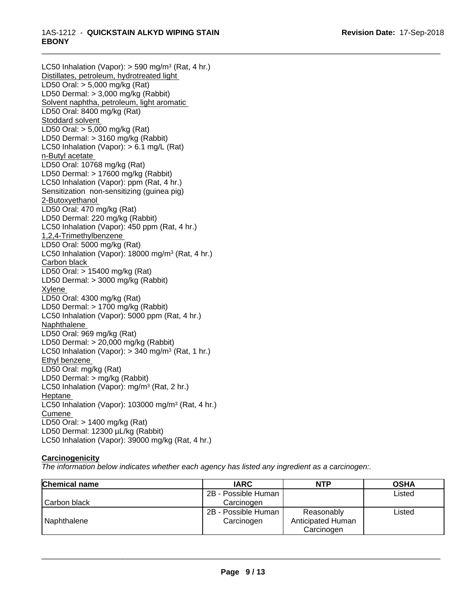#### \_\_\_\_\_\_\_\_\_\_\_\_\_\_\_\_\_\_\_\_\_\_\_\_\_\_\_\_\_\_\_\_\_\_\_\_\_\_\_\_\_\_\_\_\_\_\_\_\_\_\_\_\_\_\_\_\_\_\_\_\_\_\_\_\_\_\_\_\_\_\_\_\_\_\_\_\_\_\_\_\_\_\_\_\_\_\_\_\_\_\_\_\_ 1AS-1212 - **QUICKSTAIN ALKYD WIPING STAIN EBONY**

LC50 Inhalation (Vapor): > 590 mg/m<sup>3</sup> (Rat, 4 hr.) Distillates, petroleum, hydrotreated light LD50 Oral: > 5,000 mg/kg (Rat) LD50 Dermal: > 3,000 mg/kg (Rabbit) Solvent naphtha, petroleum, light aromatic LD50 Oral: 8400 mg/kg (Rat) Stoddard solvent LD50 Oral: > 5,000 mg/kg (Rat) LD50 Dermal: > 3160 mg/kg (Rabbit) LC50 Inhalation (Vapor): > 6.1 mg/L (Rat) n-Butyl acetate LD50 Oral: 10768 mg/kg (Rat) LD50 Dermal: > 17600 mg/kg (Rabbit) LC50 Inhalation (Vapor): ppm (Rat, 4 hr.) Sensitization non-sensitizing (guinea pig) 2-Butoxyethanol LD50 Oral: 470 mg/kg (Rat) LD50 Dermal: 220 mg/kg (Rabbit) LC50 Inhalation (Vapor): 450 ppm (Rat, 4 hr.) 1,2,4-Trimethylbenzene LD50 Oral: 5000 mg/kg (Rat) LC50 Inhalation (Vapor): 18000 mg/m<sup>3</sup> (Rat, 4 hr.) Carbon black LD50 Oral: > 15400 mg/kg (Rat) LD50 Dermal: > 3000 mg/kg (Rabbit) Xylene LD50 Oral: 4300 mg/kg (Rat) LD50 Dermal: > 1700 mg/kg (Rabbit) LC50 Inhalation (Vapor): 5000 ppm (Rat, 4 hr.) **Naphthalene** LD50 Oral: 969 mg/kg (Rat) LD50 Dermal: > 20,000 mg/kg (Rabbit) LC50 Inhalation (Vapor): > 340 mg/m<sup>3</sup> (Rat, 1 hr.) Ethyl benzene LD50 Oral: mg/kg (Rat) LD50 Dermal: > mg/kg (Rabbit) LC50 Inhalation (Vapor): mg/m<sup>3</sup> (Rat, 2 hr.) Heptane LC50 Inhalation (Vapor): 103000 mg/m<sup>3</sup> (Rat, 4 hr.) Cumene LD50 Oral: > 1400 mg/kg (Rat) LD50 Dermal: 12300 µL/kg (Rabbit) LC50 Inhalation (Vapor): 39000 mg/kg (Rat, 4 hr.)

## **Carcinogenicity**

*The information below indicateswhether each agency has listed any ingredient as a carcinogen:.*

| <b>Chemical name</b> | <b>IARC</b>         | <b>NTP</b>        | <b>OSHA</b> |
|----------------------|---------------------|-------------------|-------------|
|                      | 2B - Possible Human |                   | Listed      |
| Carbon black         | Carcinogen          |                   |             |
|                      | 2B - Possible Human | Reasonably        | Listed      |
| Naphthalene          | Carcinogen          | Anticipated Human |             |
|                      |                     | Carcinogen        |             |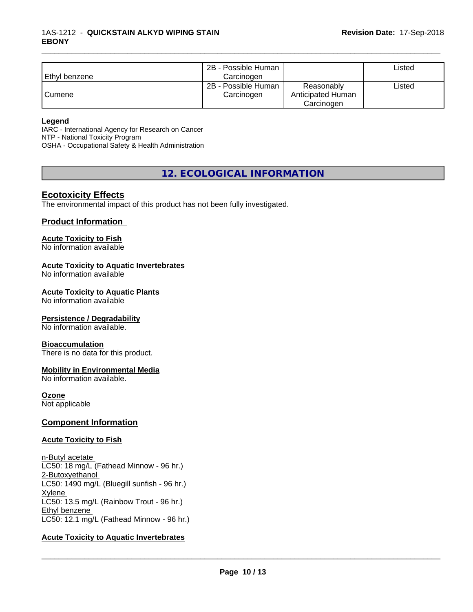## 1AS-1212 - **QUICKSTAIN ALKYD WIPING STAIN EBONY**

| l Ethvl benzene | 2B - Possible Human<br>Carcinogen |                                               | ∟isted |
|-----------------|-----------------------------------|-----------------------------------------------|--------|
| Cumene          | 2B - Possible Human<br>Carcinogen | Reasonably<br>Anticipated Human<br>Carcinogen | ∟isted |

\_\_\_\_\_\_\_\_\_\_\_\_\_\_\_\_\_\_\_\_\_\_\_\_\_\_\_\_\_\_\_\_\_\_\_\_\_\_\_\_\_\_\_\_\_\_\_\_\_\_\_\_\_\_\_\_\_\_\_\_\_\_\_\_\_\_\_\_\_\_\_\_\_\_\_\_\_\_\_\_\_\_\_\_\_\_\_\_\_\_\_\_\_

#### **Legend**

IARC - International Agency for Research on Cancer NTP - National Toxicity Program OSHA - Occupational Safety & Health Administration

**12. ECOLOGICAL INFORMATION**

## **Ecotoxicity Effects**

The environmental impact of this product has not been fully investigated.

## **Product Information**

#### **Acute Toxicity to Fish**

No information available

#### **Acute Toxicity to Aquatic Invertebrates**

No information available

#### **Acute Toxicity to Aquatic Plants**

No information available

## **Persistence / Degradability**

No information available.

#### **Bioaccumulation**

There is no data for this product.

## **Mobility in Environmental Media**

No information available.

#### **Ozone**

Not applicable

#### **Component Information**

#### **Acute Toxicity to Fish**

n-Butyl acetate LC50: 18 mg/L (Fathead Minnow - 96 hr.) 2-Butoxyethanol LC50: 1490 mg/L (Bluegill sunfish - 96 hr.) Xylene LC50: 13.5 mg/L (Rainbow Trout - 96 hr.) Ethyl benzene LC50: 12.1 mg/L (Fathead Minnow - 96 hr.)

## **Acute Toxicity to Aquatic Invertebrates**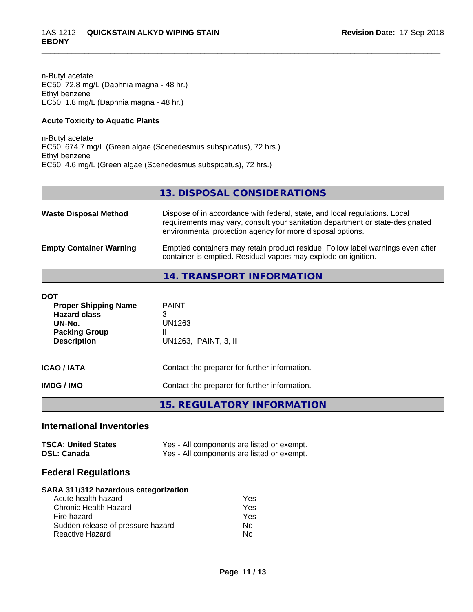n-Butyl acetate EC50: 72.8 mg/L (Daphnia magna - 48 hr.) Ethyl benzene EC50: 1.8 mg/L (Daphnia magna - 48 hr.)

## **Acute Toxicity to Aquatic Plants**

n-Butyl acetate EC50: 674.7 mg/L (Green algae (Scenedesmus subspicatus), 72 hrs.) Ethyl benzene EC50: 4.6 mg/L (Green algae (Scenedesmus subspicatus), 72 hrs.)

## **13. DISPOSAL CONSIDERATIONS**

\_\_\_\_\_\_\_\_\_\_\_\_\_\_\_\_\_\_\_\_\_\_\_\_\_\_\_\_\_\_\_\_\_\_\_\_\_\_\_\_\_\_\_\_\_\_\_\_\_\_\_\_\_\_\_\_\_\_\_\_\_\_\_\_\_\_\_\_\_\_\_\_\_\_\_\_\_\_\_\_\_\_\_\_\_\_\_\_\_\_\_\_\_

| <b>Waste Disposal Method</b>   | Dispose of in accordance with federal, state, and local regulations. Local<br>requirements may vary, consult your sanitation department or state-designated<br>environmental protection agency for more disposal options. |
|--------------------------------|---------------------------------------------------------------------------------------------------------------------------------------------------------------------------------------------------------------------------|
| <b>Empty Container Warning</b> | Emptied containers may retain product residue. Follow label warnings even after<br>container is emptied. Residual vapors may explode on ignition.                                                                         |

## **14. TRANSPORT INFORMATION**

| DOT<br><b>Proper Shipping Name</b><br><b>Hazard class</b><br>UN-No.<br><b>Packing Group</b><br><b>Description</b> | <b>PAINT</b><br>3<br>UN1263<br>Ш<br>UN1263, PAINT, 3, II |
|-------------------------------------------------------------------------------------------------------------------|----------------------------------------------------------|
| ICAO / IATA                                                                                                       | Contact the preparer for further information.            |
| IMDG / IMO                                                                                                        | Contact the preparer for further information.            |

## **15. REGULATORY INFORMATION**

## **International Inventories**

| <b>TSCA: United States</b> | Yes - All components are listed or exempt. |
|----------------------------|--------------------------------------------|
| <b>DSL: Canada</b>         | Yes - All components are listed or exempt. |

## **Federal Regulations**

#### **SARA 311/312 hazardous categorization**

| Acute health hazard               | Yes |  |
|-----------------------------------|-----|--|
| Chronic Health Hazard             | Yes |  |
| Fire hazard                       | Yes |  |
| Sudden release of pressure hazard | N٥  |  |
| Reactive Hazard                   | N٥  |  |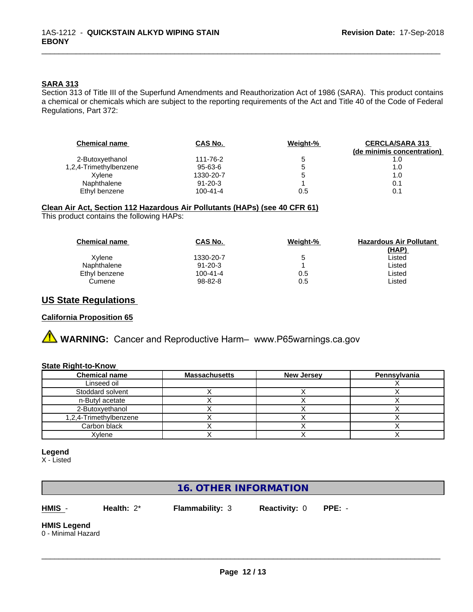## **SARA 313**

Section 313 of Title III of the Superfund Amendments and Reauthorization Act of 1986 (SARA). This product contains a chemical or chemicals which are subject to the reporting requirements of the Act and Title 40 of the Code of Federal Regulations, Part 372:

\_\_\_\_\_\_\_\_\_\_\_\_\_\_\_\_\_\_\_\_\_\_\_\_\_\_\_\_\_\_\_\_\_\_\_\_\_\_\_\_\_\_\_\_\_\_\_\_\_\_\_\_\_\_\_\_\_\_\_\_\_\_\_\_\_\_\_\_\_\_\_\_\_\_\_\_\_\_\_\_\_\_\_\_\_\_\_\_\_\_\_\_\_

| <b>Chemical name</b>   | CAS No.       | Weight-% | <b>CERCLA/SARA 313</b><br>(de minimis concentration) |
|------------------------|---------------|----------|------------------------------------------------------|
| 2-Butoxyethanol        | 111-76-2      | 5        | 1.0                                                  |
| 1,2,4-Trimethylbenzene | $95 - 63 - 6$ | G        | 1.0                                                  |
| Xvlene                 | 1330-20-7     |          | 1.0                                                  |
| Naphthalene            | $91 - 20 - 3$ |          | 0.1                                                  |
| Ethyl benzene          | 100-41-4      | 0.5      |                                                      |

## **Clean Air Act,Section 112 Hazardous Air Pollutants (HAPs) (see 40 CFR 61)**

This product contains the following HAPs:

| <b>Chemical name</b> | <b>CAS No.</b> | Weight-% | <b>Hazardous Air Pollutant</b> |
|----------------------|----------------|----------|--------------------------------|
|                      |                |          | (HAP)                          |
| Xvlene               | 1330-20-7      | 5        | Listed                         |
| Naphthalene          | $91 - 20 - 3$  |          | Listed                         |
| Ethyl benzene        | $100 - 41 - 4$ | 0.5      | Listed                         |
| Cumene               | 98-82-8        | 0.5      | Listed                         |

## **US State Regulations**

#### **California Proposition 65**

**A** WARNING: Cancer and Reproductive Harm– www.P65warnings.ca.gov

#### **State Right-to-Know**

| <b>Chemical name</b>   | Massachusetts | <b>New Jersey</b> | Pennsylvania |
|------------------------|---------------|-------------------|--------------|
| Linseed oil            |               |                   |              |
| Stoddard solvent       |               |                   |              |
| n-Butyl acetate        |               |                   |              |
| 2-Butoxyethanol        |               |                   |              |
| 1,2,4-Trimethylbenzene |               |                   |              |
| Carbon black           |               |                   |              |
| Xylene                 |               |                   |              |

#### **Legend**

X - Listed

## **16. OTHER INFORMATION**

**HMIS** - **Health:** 2\* **Flammability:** 3 **Reactivity:** 0 **PPE:** -

 $\overline{\phantom{a}}$  ,  $\overline{\phantom{a}}$  ,  $\overline{\phantom{a}}$  ,  $\overline{\phantom{a}}$  ,  $\overline{\phantom{a}}$  ,  $\overline{\phantom{a}}$  ,  $\overline{\phantom{a}}$  ,  $\overline{\phantom{a}}$  ,  $\overline{\phantom{a}}$  ,  $\overline{\phantom{a}}$  ,  $\overline{\phantom{a}}$  ,  $\overline{\phantom{a}}$  ,  $\overline{\phantom{a}}$  ,  $\overline{\phantom{a}}$  ,  $\overline{\phantom{a}}$  ,  $\overline{\phantom{a}}$ 

## **HMIS Legend**

0 - Minimal Hazard